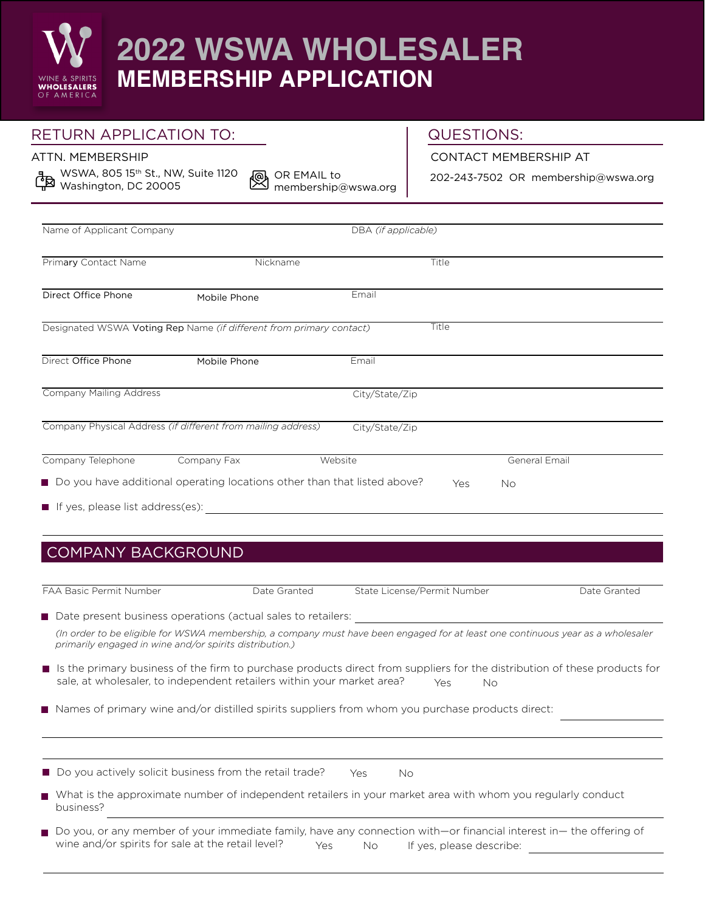

## RETURN APPLICATION TO:

## QUESTIONS:

ATTN. MEMBERSHIP

WSWA, 805 15<sup>th</sup> St., NW, Suite 1120  $\frac{1}{2}$  Washington, DC 20005

OR EMAIL to ⑯ membership@wswa.org

202-243-7502 OR membership@wswa.org

CONTACT MEMBERSHIP AT

| Name of Applicant Company        |                                                                            | DBA (if applicable) |       |               |  |
|----------------------------------|----------------------------------------------------------------------------|---------------------|-------|---------------|--|
| Primary Contact Name             | Nickname                                                                   |                     | Title |               |  |
| Direct Office Phone              | Mobile Phone                                                               | Email               |       |               |  |
|                                  | Designated WSWA Voting Rep Name (if different from primary contact)        |                     | Title |               |  |
| Direct Office Phone              | Mobile Phone                                                               | Email               |       |               |  |
| <b>Company Mailing Address</b>   |                                                                            | City/State/Zip      |       |               |  |
|                                  | Company Physical Address (if different from mailing address)               | City/State/Zip      |       |               |  |
| Company Telephone                | Company Fax                                                                | Website             |       | General Email |  |
|                                  | ■ Do you have additional operating locations other than that listed above? |                     | Yes   | No            |  |
| If yes, please list address(es): |                                                                            |                     |       |               |  |
|                                  |                                                                            |                     |       |               |  |
|                                  |                                                                            |                     |       |               |  |
| <b>COMPANY BACKGROUND</b>        |                                                                            |                     |       |               |  |
|                                  |                                                                            |                     |       |               |  |

| FAA Basic Permit Number |  |
|-------------------------|--|
|-------------------------|--|

Pate Granted State License/Permit Number Date Granted Date Granted

Date present business operations (actual sales to retailers:

*(In order to be eligible for WSWA membership, a company must have been engaged for at least one continuous year as a wholesaler primarily engaged in wine and/or spirits distribution.)*

If Is the primary business of the firm to purchase products direct from suppliers for the distribution of these products for sale, at wholesaler, to independent retailers within your market area?  $Y_{\text{es}}$  No

Names of primary wine and/or distilled spirits suppliers from whom you purchase products direct:

| Do you actively solicit business from the retail trade? | Yes | Nο |
|---------------------------------------------------------|-----|----|
|---------------------------------------------------------|-----|----|

What is the approximate number of independent retailers in your market area with whom you regularly conduct business?

■ Do you, or any member of your immediate family, have any connection with—or financial interest in— the offering of wine and/or spirits for sale at the retail level? Yes No If yes, please describe: